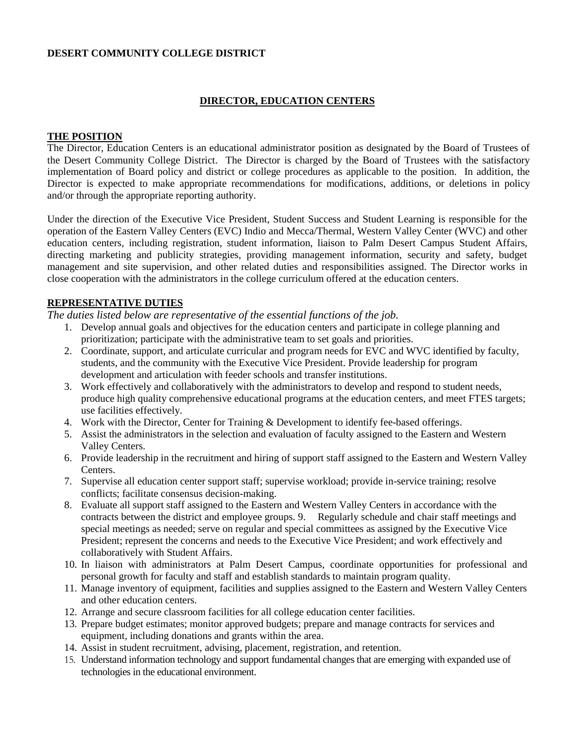### **DESERT COMMUNITY COLLEGE DISTRICT**

## **DIRECTOR, EDUCATION CENTERS**

### **THE POSITION**

The Director, Education Centers is an educational administrator position as designated by the Board of Trustees of the Desert Community College District. The Director is charged by the Board of Trustees with the satisfactory implementation of Board policy and district or college procedures as applicable to the position. In addition, the Director is expected to make appropriate recommendations for modifications, additions, or deletions in policy and/or through the appropriate reporting authority.

Under the direction of the Executive Vice President, Student Success and Student Learning is responsible for the operation of the Eastern Valley Centers (EVC) Indio and Mecca/Thermal, Western Valley Center (WVC) and other education centers, including registration, student information, liaison to Palm Desert Campus Student Affairs, directing marketing and publicity strategies, providing management information, security and safety, budget management and site supervision, and other related duties and responsibilities assigned. The Director works in close cooperation with the administrators in the college curriculum offered at the education centers.

### **REPRESENTATIVE DUTIES**

*The duties listed below are representative of the essential functions of the job.* 

- 1. Develop annual goals and objectives for the education centers and participate in college planning and prioritization; participate with the administrative team to set goals and priorities.
- 2. Coordinate, support, and articulate curricular and program needs for EVC and WVC identified by faculty, students, and the community with the Executive Vice President. Provide leadership for program development and articulation with feeder schools and transfer institutions.
- 3. Work effectively and collaboratively with the administrators to develop and respond to student needs, produce high quality comprehensive educational programs at the education centers, and meet FTES targets; use facilities effectively.
- 4. Work with the Director, Center for Training & Development to identify fee-based offerings.
- 5. Assist the administrators in the selection and evaluation of faculty assigned to the Eastern and Western Valley Centers.
- 6. Provide leadership in the recruitment and hiring of support staff assigned to the Eastern and Western Valley Centers.
- 7. Supervise all education center support staff; supervise workload; provide in-service training; resolve conflicts; facilitate consensus decision-making.
- 8. Evaluate all support staff assigned to the Eastern and Western Valley Centers in accordance with the contracts between the district and employee groups. 9. Regularly schedule and chair staff meetings and special meetings as needed; serve on regular and special committees as assigned by the Executive Vice President; represent the concerns and needs to the Executive Vice President; and work effectively and collaboratively with Student Affairs.
- 10. In liaison with administrators at Palm Desert Campus, coordinate opportunities for professional and personal growth for faculty and staff and establish standards to maintain program quality.
- 11. Manage inventory of equipment, facilities and supplies assigned to the Eastern and Western Valley Centers and other education centers.
- 12. Arrange and secure classroom facilities for all college education center facilities.
- 13. Prepare budget estimates; monitor approved budgets; prepare and manage contracts for services and equipment, including donations and grants within the area.
- 14. Assist in student recruitment, advising, placement, registration, and retention.
- 15. Understand information technology and support fundamental changes that are emerging with expanded use of technologies in the educational environment.